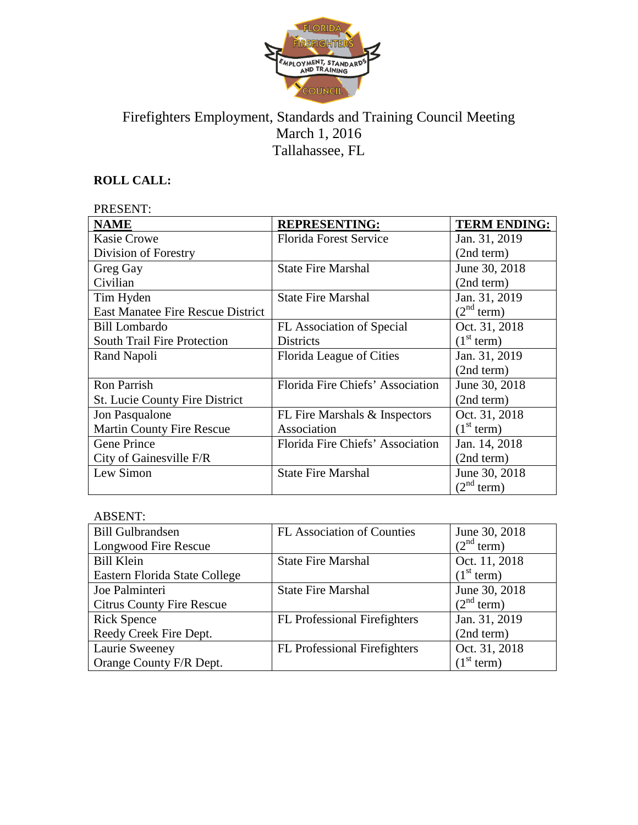

# Firefighters Employment, Standards and Training Council Meeting March 1, 2016 Tallahassee, FL

# **ROLL CALL:**

| PRESENT:                                 |                                  |                        |
|------------------------------------------|----------------------------------|------------------------|
| <b>NAME</b>                              | <b>REPRESENTING:</b>             | <b>TERM ENDING:</b>    |
| <b>Kasie Crowe</b>                       | <b>Florida Forest Service</b>    | Jan. 31, 2019          |
| Division of Forestry                     |                                  | (2nd term)             |
| Greg Gay                                 | <b>State Fire Marshal</b>        | June 30, 2018          |
| Civilian                                 |                                  | (2nd term)             |
| Tim Hyden                                | <b>State Fire Marshal</b>        | Jan. 31, 2019          |
| <b>East Manatee Fire Rescue District</b> |                                  | (2 <sup>nd</sup> term) |
| <b>Bill Lombardo</b>                     | FL Association of Special        | Oct. 31, 2018          |
| <b>South Trail Fire Protection</b>       | <b>Districts</b>                 | (1 <sup>st</sup> term) |
| Rand Napoli                              | Florida League of Cities         | Jan. 31, 2019          |
|                                          |                                  | (2nd term)             |
| Ron Parrish                              | Florida Fire Chiefs' Association | June 30, 2018          |
| <b>St. Lucie County Fire District</b>    |                                  | (2nd term)             |
| Jon Pasqualone                           | FL Fire Marshals & Inspectors    | Oct. 31, 2018          |
| <b>Martin County Fire Rescue</b>         | Association                      | (1 <sup>st</sup> term) |
| <b>Gene Prince</b>                       | Florida Fire Chiefs' Association | Jan. 14, 2018          |
| City of Gainesville F/R                  |                                  | (2nd term)             |
| Lew Simon                                | <b>State Fire Marshal</b>        | June 30, 2018          |
|                                          |                                  | $(2nd$ term)           |

## ABSENT:

| , , , , , , , , , , ,            |                                     |                        |
|----------------------------------|-------------------------------------|------------------------|
| <b>Bill Gulbrandsen</b>          | <b>FL Association of Counties</b>   | June 30, 2018          |
| Longwood Fire Rescue             |                                     | (2 <sup>nd</sup> term) |
| <b>Bill Klein</b>                | <b>State Fire Marshal</b>           | Oct. 11, 2018          |
| Eastern Florida State College    |                                     | (1 <sup>st</sup> term) |
| Joe Palminteri                   | <b>State Fire Marshal</b>           | June 30, 2018          |
| <b>Citrus County Fire Rescue</b> |                                     | (2 <sup>nd</sup> term) |
| <b>Rick Spence</b>               | <b>FL</b> Professional Firefighters | Jan. 31, 2019          |
| Reedy Creek Fire Dept.           |                                     | (2nd term)             |
| Laurie Sweeney                   | <b>FL Professional Firefighters</b> | Oct. 31, 2018          |
| Orange County F/R Dept.          |                                     | (1 <sup>st</sup> term) |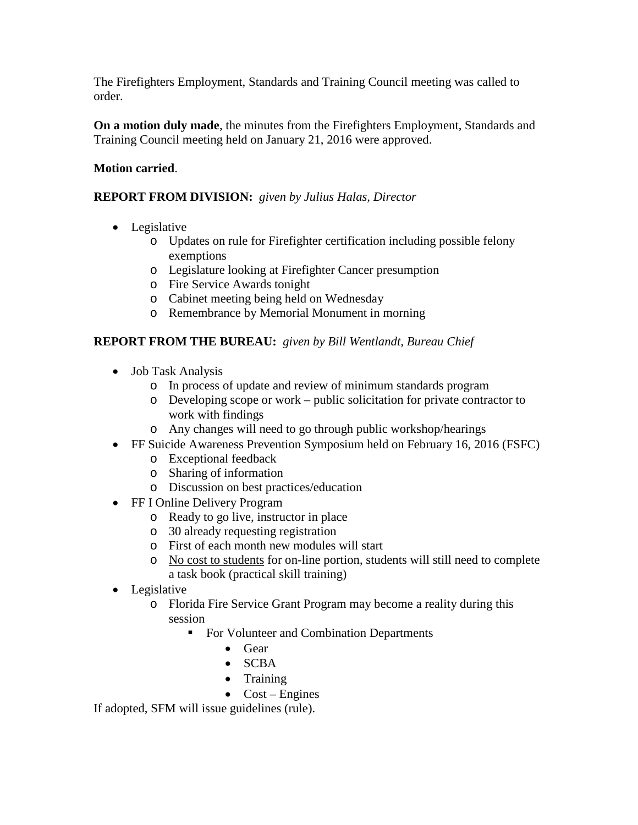The Firefighters Employment, Standards and Training Council meeting was called to order.

**On a motion duly made**, the minutes from the Firefighters Employment, Standards and Training Council meeting held on January 21, 2016 were approved.

### **Motion carried**.

### **REPORT FROM DIVISION:** *given by Julius Halas, Director*

- Legislative
	- o Updates on rule for Firefighter certification including possible felony exemptions
	- o Legislature looking at Firefighter Cancer presumption
	- o Fire Service Awards tonight
	- o Cabinet meeting being held on Wednesday
	- o Remembrance by Memorial Monument in morning

## **REPORT FROM THE BUREAU:** *given by Bill Wentlandt, Bureau Chief*

- Job Task Analysis
	- o In process of update and review of minimum standards program
	- o Developing scope or work public solicitation for private contractor to work with findings
	- o Any changes will need to go through public workshop/hearings
- FF Suicide Awareness Prevention Symposium held on February 16, 2016 (FSFC)
	- o Exceptional feedback
	- o Sharing of information
	- o Discussion on best practices/education
- FF I Online Delivery Program
	- o Ready to go live, instructor in place
	- o 30 already requesting registration
	- o First of each month new modules will start
	- o No cost to students for on-line portion, students will still need to complete a task book (practical skill training)
- Legislative
	- o Florida Fire Service Grant Program may become a reality during this session
		- For Volunteer and Combination Departments
			- Gear
			- SCBA
			- **Training**
			- $\bullet$  Cost Engines

If adopted, SFM will issue guidelines (rule).